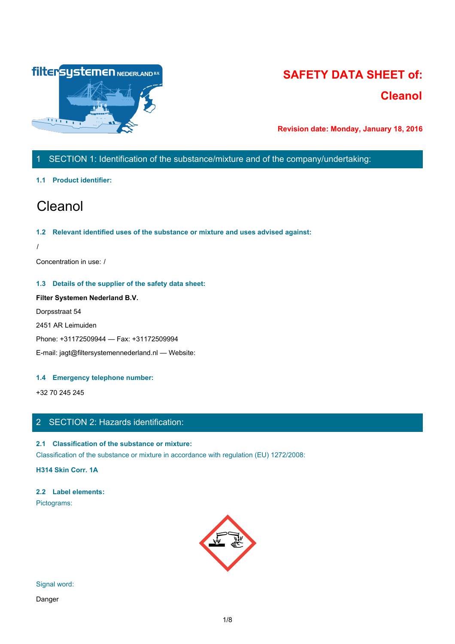

# **SAFETY DATA SHEET of: Cleanol**

**Revision date: Monday, January 18, 2016**

# 1 SECTION 1: Identification of the substance/mixture and of the company/undertaking:

### **1.1 Product identifier:**

# Cleanol

### **1.2 Relevant identified uses of the substance or mixture and uses advised against:**

/

Concentration in use: /

### **1.3 Details of the supplier of the safety data sheet:**

# **Filter Systemen Nederland B.V.**

Dorpsstraat 54

2451 AR Leimuiden

Phone: +31172509944 — Fax: +31172509994

E-mail: jagt@filtersystemennederland.nl — Website:

## **1.4 Emergency telephone number:**

+32 70 245 245

# 2 SECTION 2: Hazards identification:

## **2.1 Classification of the substance or mixture:**

Classification of the substance or mixture in accordance with regulation (EU) 1272/2008:

**H314 Skin Corr. 1A**

# **2.2 Label elements:**

Pictograms:



## Signal word:

Danger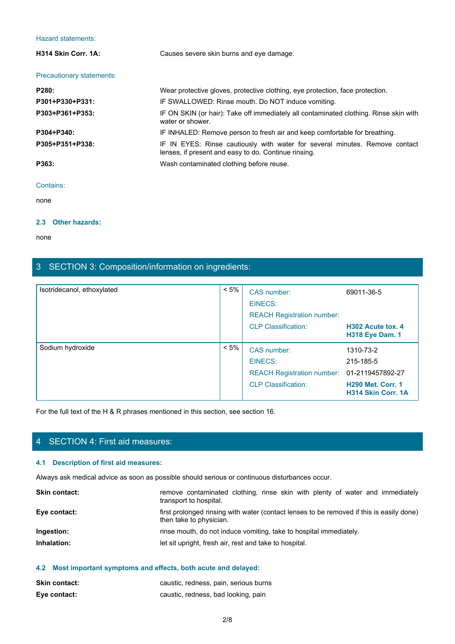| <b>Hazard statements:</b> |                                                                                                                                     |  |
|---------------------------|-------------------------------------------------------------------------------------------------------------------------------------|--|
| H314 Skin Corr. 1A:       | Causes severe skin burns and eye damage.                                                                                            |  |
| Precautionary statements: |                                                                                                                                     |  |
| P280:                     | Wear protective gloves, protective clothing, eye protection, face protection.                                                       |  |
| P301+P330+P331:           | IF SWALLOWED: Rinse mouth. Do NOT induce vomiting.                                                                                  |  |
| P303+P361+P353:           | IF ON SKIN (or hair): Take off immediately all contaminated clothing. Rinse skin with<br>water or shower.                           |  |
| P304+P340:                | IF INHALED: Remove person to fresh air and keep comfortable for breathing.                                                          |  |
| P305+P351+P338:           | IF IN EYES: Rinse cautiously with water for several minutes. Remove contact<br>lenses, if present and easy to do. Continue rinsing. |  |
| P363:                     | Wash contaminated clothing before reuse.                                                                                            |  |
| Contains:                 |                                                                                                                                     |  |
| none                      |                                                                                                                                     |  |

none and the state of the state of the state of the state of the state of the state of the state of the state of the state of the state of the state of the state of the state of the state of the state of the state of the s

# **2.3 Other hazards:**

none and the state of the state of the state of the state of the state of the state of the state of the state of the state of the state of the state of the state of the state of the state of the state of the state of the s

# 3 SECTION 3: Composition/information on ingredients:

| 3 SECTION 3: Composition/information on ingredients:                                                                  |                                                        |                                                                                                  |                                                           |
|-----------------------------------------------------------------------------------------------------------------------|--------------------------------------------------------|--------------------------------------------------------------------------------------------------|-----------------------------------------------------------|
| Isotridecanol, ethoxylated                                                                                            | $< 5\%$                                                | CAS number:<br><b>EINECS:</b><br><b>REACH Registration number:</b><br><b>CLP Classification:</b> | 69011-36-5<br>H302 Acute tox. 4<br><b>H318 Eye Dam. 1</b> |
| Sodium hydroxide                                                                                                      | $< 5\%$                                                | CAS number:<br><b>EINECS:</b><br>REACH Registration number: 01-2119457892-27                     | 1310-73-2<br>215-185-5                                    |
|                                                                                                                       |                                                        | <b>CLP Classification:</b>                                                                       | <b>H290 Met. Corr. 1</b><br>H314 Skin Corr. 1A            |
| For the full text of the H & R phrases mentioned in this section, see section 16.<br>4 SECTION 4: First aid measures: |                                                        |                                                                                                  |                                                           |
| 4.1 Description of first aid measures:                                                                                |                                                        |                                                                                                  |                                                           |
| Always ask medical advice as soon as possible should serious or continuous disturbances occur.                        |                                                        |                                                                                                  |                                                           |
| Skin contact:                                                                                                         | transport to hospital.                                 | remove contaminated clothing, rinse skin with plenty of water and immediately                    |                                                           |
| Eye contact:                                                                                                          | then take to physician.                                | first prolonged rinsing with water (contact lenses to be removed if this is easily done)         |                                                           |
| Ingestion:                                                                                                            |                                                        | rinse mouth, do not induce vomiting, take to hospital immediately.                               |                                                           |
| Inhalation:                                                                                                           | let sit upright, fresh air, rest and take to hospital. |                                                                                                  |                                                           |

# 4 SECTION 4: First aid measures:

### **4.1 Description of first aid measures:**

| <b>Skin contact:</b> | remove contaminated clothing, rinse skin with plenty of water and immediately<br>transport to hospital.             |
|----------------------|---------------------------------------------------------------------------------------------------------------------|
| Eye contact:         | first prolonged rinsing with water (contact lenses to be removed if this is easily done)<br>then take to physician. |
| Ingestion:           | rinse mouth, do not induce vomiting, take to hospital immediately.                                                  |
| Inhalation:          | let sit upright, fresh air, rest and take to hospital.                                                              |
|                      |                                                                                                                     |

# **4.2 Most important symptoms and effects, both acute and delayed:**

| <b>Skin contact:</b> | caustic, redness, pain, serious burns |
|----------------------|---------------------------------------|
| Eye contact:         | caustic, redness, bad looking, pain   |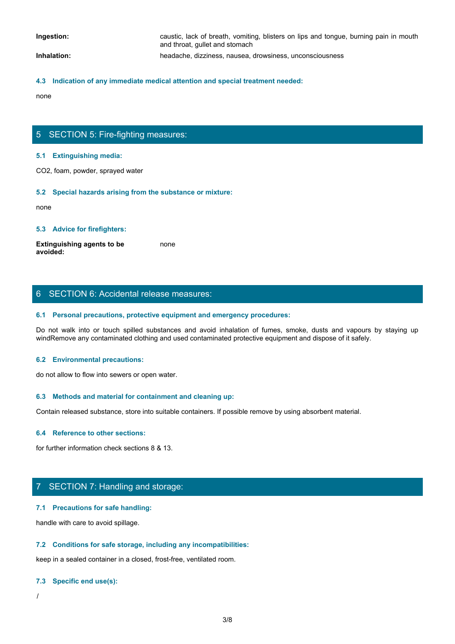**Ingestion: caustic, lack of breath, vomiting, blisters on lips and tongue, burning pain in mouth** and throat, gullet and stomach

## **Inhalation:** headache, dizziness, nausea, drowsiness, unconsciousness

### **4.3 Indication of any immediate medical attention and special treatment needed:**

none and the state of the state of the state of the state of the state of the state of the state of the state of the state of the state of the state of the state of the state of the state of the state of the state of the s

# 5 SECTION 5: Fire-fighting measures:

#### **5.1 Extinguishing media:**

CO2, foam, powder, sprayed water

#### **5.2 Special hazards arising from the substance or mixture:**

none and the state of the state of the state of the state of the state of the state of the state of the state of the state of the state of the state of the state of the state of the state of the state of the state of the s

### **5.3 Advice for firefighters:**

**Extinguishing agents to be avoided:** none and the state of the state of the state of the state of the state of the state of the state of the state of the state of the state of the state of the state of the state of the state of the state of the state of the s

### 6 SECTION 6: Accidental release measures:

#### **6.1 Personal precautions, protective equipment and emergency procedures:**

Donce<br>
S. S. Extinguishing media:<br>
CO2, foam, powder, sprayed water<br>
S. S. Special hazards arising from the substance or mixture:<br>
Extinguishing agents to be<br>
worlded:<br>
S. Advice for firefighters:<br>
S. Personal precautions, windRemove any contaminated clothing and used contaminated protective equipment and dispose of it safely.

#### **6.2 Environmental precautions:**

do not allow to flow into sewers or open water.

#### **6.3 Methods and material for containment and cleaning up:**

Contain released substance, store into suitable containers. If possible remove by using absorbent material.

### **6.4 Reference to other sections:**

for further information check sections 8 & 13.

## 7 SECTION 7: Handling and storage:

### **7.1 Precautions for safe handling:**

handle with care to avoid spillage.

### **7.2 Conditions for safe storage, including any incompatibilities:**

keep in a sealed container in a closed, frost-free, ventilated room.

### **7.3 Specific end use(s):**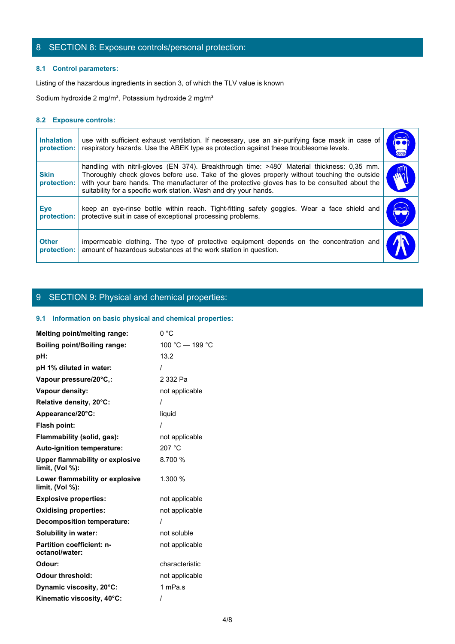# 8 SECTION 8: Exposure controls/personal protection:

### **8.1 Control parameters:**

### **8.2 Exposure controls:**

|                                  | 8 SECTION 8: Exposure controls/personal protection:                                                                                                                                                                                                                                                                                                               |                   |
|----------------------------------|-------------------------------------------------------------------------------------------------------------------------------------------------------------------------------------------------------------------------------------------------------------------------------------------------------------------------------------------------------------------|-------------------|
| 8.1 Control parameters:          | Listing of the hazardous ingredients in section 3, of which the TLV value is known                                                                                                                                                                                                                                                                                |                   |
|                                  | Sodium hydroxide 2 mg/m <sup>3</sup> , Potassium hydroxide 2 mg/m <sup>3</sup>                                                                                                                                                                                                                                                                                    |                   |
| 8.2 Exposure controls:           |                                                                                                                                                                                                                                                                                                                                                                   |                   |
| <b>Inhalation</b><br>protection: | use with sufficient exhaust ventilation. If necessary, use an air-purifying face mask in case of<br>respiratory hazards. Use the ABEK type as protection against these troublesome levels.                                                                                                                                                                        | $\sqrt{\bullet}$  |
| <b>Skin</b><br>protection:       | handling with nitril-gloves (EN 374). Breakthrough time: >480' Material thickness: 0,35 mm.<br>Thoroughly check gloves before use. Take of the gloves properly without touching the outside<br>with your bare hands. The manufacturer of the protective gloves has to be consulted about the<br>suitability for a specific work station. Wash and dry your hands. | rη<br>$\tilde{w}$ |
| <b>Eye</b><br>protection:        | keep an eye-rinse bottle within reach. Tight-fitting safety goggles. Wear a face shield and<br>protective suit in case of exceptional processing problems.                                                                                                                                                                                                        |                   |
|                                  | impermeable clothing. The type of protective equipment depends on the concentration and<br>amount of hazardous substances at the work station in question.                                                                                                                                                                                                        |                   |

# 9 SECTION 9: Physical and chemical properties:

### **9.1 Information on basic physical and chemical properties:**

| Melting point/melting range:                                 | 0 °C            |
|--------------------------------------------------------------|-----------------|
| <b>Boiling point/Boiling range:</b>                          | 100 °C - 199 °C |
| pH:                                                          | 13.2            |
| pH 1% diluted in water:                                      |                 |
| Vapour pressure/20°C,:                                       | 2 332 Pa        |
| Vapour density:                                              | not applicable  |
| Relative density, 20°C:                                      |                 |
| Appearance/20°C:                                             | liquid          |
| Flash point:                                                 |                 |
| Flammability (solid, gas):                                   | not applicable  |
| Auto-ignition temperature:                                   | 207 °C          |
| <b>Upper flammability or explosive</b><br>limit, $(Vol %)$ : | 8.700 %         |
| Lower flammability or explosive<br>limit, $(Vol %)$ :        | 1.300 %         |
| <b>Explosive properties:</b>                                 | not applicable  |
| <b>Oxidising properties:</b>                                 | not applicable  |
| <b>Decomposition temperature:</b>                            |                 |
| Solubility in water:                                         | not soluble     |
| <b>Partition coefficient: n-</b><br>octanol/water:           | not applicable  |
| Odour:                                                       | characteristic  |
| <b>Odour threshold:</b>                                      | not applicable  |
| Dynamic viscosity, 20°C:                                     | 1 mPa.s         |
| Kinematic viscosity, 40°C:                                   |                 |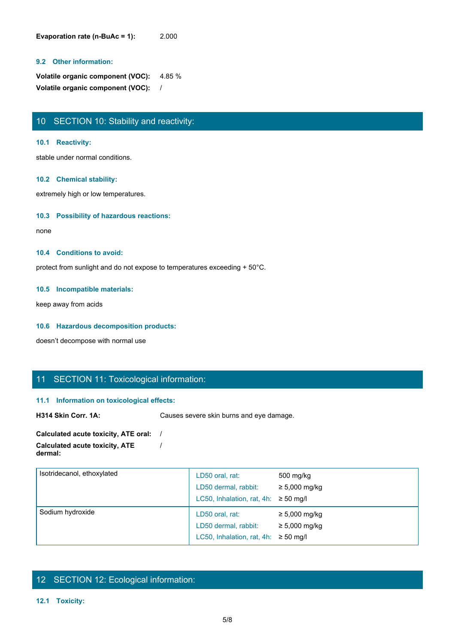**Evaporation rate (n-BuAc = 1):** 2.000

### **9.2 Other information:**

**Volatile organic component (VOC):** 4.85 % **Volatile organic component (VOC):** /

# 10 SECTION 10: Stability and reactivity:

### **10.1 Reactivity:**

stable under normal conditions.

### **10.2 Chemical stability:**

extremely high or low temperatures.

### **10.3 Possibility of hazardous reactions:**

none and the state of the state of the state of the state of the state of the state of the state of the state of the state of the state of the state of the state of the state of the state of the state of the state of the s

### **10.4 Conditions to avoid:**

protect from sunlight and do not expose to temperatures exceeding + 50°C.

### **10.5 Incompatible materials:**

keep away from acids

### **10.6 Hazardous decomposition products:**

doesn't decompose with normal use

## 11 SECTION 11: Toxicological information:

### **11.1 Information on toxicological effects:**

**H314 Skin Corr. 1A:** Causes severe skin burns and eye damage.

#### **Calculated acute toxicity, ATE oral:** / **Calculated acute toxicity, ATE dermal:** /

| Isotridecanol, ethoxylated | LD50 oral, rat:<br>LD50 dermal, rabbit:<br>LC50, Inhalation, rat, 4h: $\geq$ 50 mg/l | 500 mg/kg<br>$\geq 5,000$ mg/kg          |  |
|----------------------------|--------------------------------------------------------------------------------------|------------------------------------------|--|
| Sodium hydroxide           | LD50 oral, rat:<br>LD50 dermal, rabbit:<br>LC50, Inhalation, rat, 4h: $\geq$ 50 mg/l | $\geq 5,000$ mg/kg<br>$\geq 5,000$ mg/kg |  |

# 12 SECTION 12: Ecological information:

### **12.1 Toxicity:**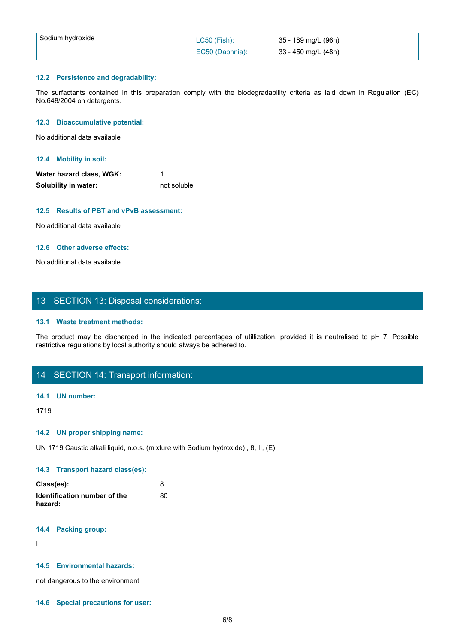| Sodium hydroxide                                                                                                        |                                 |                                            |  |  |
|-------------------------------------------------------------------------------------------------------------------------|---------------------------------|--------------------------------------------|--|--|
|                                                                                                                         | LC50 (Fish):<br>EC50 (Daphnia): | 35 - 189 mg/L (96h)<br>33 - 450 mg/L (48h) |  |  |
| 12.2 Persistence and degradability:                                                                                     |                                 |                                            |  |  |
| The surfactants contained in this preparation comply with the biodegradability criteria as laid down in Regulation (EC) |                                 |                                            |  |  |
|                                                                                                                         |                                 |                                            |  |  |
|                                                                                                                         |                                 |                                            |  |  |
| No.648/2004 on detergents.<br>12.3 Bioaccumulative potential:                                                           |                                 |                                            |  |  |

### **12.2 Persistence and degradability:**

### **12.3 Bioaccumulative potential:**

### **12.4 Mobility in soil:**

| Water hazard class, WGK: |             |
|--------------------------|-------------|
| Solubility in water:     | not soluble |

### **12.5 Results of PBT and vPvB assessment:**

No additional data available

### **12.6 Other adverse effects:**

No additional data available

# 13 SECTION 13: Disposal considerations:

### **13.1 Waste treatment methods:**

The product may be discharged in the indicated in the indicated in the indicated in the indicated with the solutions of Solutions of Solutions of the indicates, we can be obtained to a swaliable<br>Parameter charges of PBT an restrictive regulations by local authority should always be adhered to.

# 14 SECTION 14: Transport information:

### **14.1 UN number:**

1719

### **14.2 UN proper shipping name:**

UN 1719 Caustic alkali liquid, n.o.s. (mixture with Sodium hydroxide) , 8, II, (E)

### **14.3 Transport hazard class(es):**

| Class(es):                   |    |
|------------------------------|----|
| Identification number of the | 80 |
| hazard:                      |    |

### **14.4 Packing group:**

II and the state of the state of the state of the state of the state of the state of the state of the state of

### **14.5 Environmental hazards:**

not dangerous to the environment

#### **14.6 Special precautions for user:**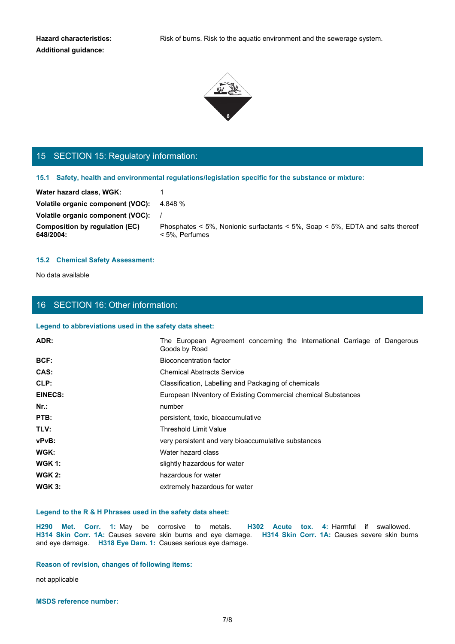**Additional guidance:**



# 15 SECTION 15: Regulatory information:

#### **15.1 Safety, health and environmental regulations/legislation specific for the substance or mixture:**

### **15.2 Chemical Safety Assessment:**

## 16 SECTION 16: Other information:

#### **Legend to abbreviations used in the safety data sheet:**

| 15 SECTION 15: Regulatory information:                                                                        |                                                                                                                                                       |
|---------------------------------------------------------------------------------------------------------------|-------------------------------------------------------------------------------------------------------------------------------------------------------|
|                                                                                                               | 15.1 Safety, health and environmental regulations/legislation specific for the substance or mixture:                                                  |
| Water hazard class, WGK:                                                                                      |                                                                                                                                                       |
| Volatile organic component (VOC): 4.848 %                                                                     |                                                                                                                                                       |
| Volatile organic component (VOC):                                                                             |                                                                                                                                                       |
| <b>Composition by regulation (EC)</b><br>648/2004:                                                            | Phosphates < 5%, Nonionic surfactants < 5%, Soap < 5%, EDTA and salts thereof<br>< 5%, Perfumes                                                       |
| <b>15.2 Chemical Safety Assessment:</b>                                                                       |                                                                                                                                                       |
| No data available                                                                                             |                                                                                                                                                       |
|                                                                                                               |                                                                                                                                                       |
|                                                                                                               |                                                                                                                                                       |
| 16 SECTION 16: Other information:                                                                             |                                                                                                                                                       |
| Legend to abbreviations used in the safety data sheet:                                                        |                                                                                                                                                       |
| ADR:                                                                                                          | The European Agreement concerning the International Carriage of Dangerous<br>Goods by Road                                                            |
| BCF:                                                                                                          | <b>Bioconcentration factor</b>                                                                                                                        |
| CAS:                                                                                                          | <b>Chemical Abstracts Service</b>                                                                                                                     |
| CLP:                                                                                                          | Classification, Labelling and Packaging of chemicals                                                                                                  |
| <b>EINECS:</b>                                                                                                | European INventory of Existing Commercial chemical Substances                                                                                         |
| Nr.:                                                                                                          | number                                                                                                                                                |
| PTB:                                                                                                          | persistent, toxic, bioaccumulative                                                                                                                    |
| TLV:                                                                                                          | <b>Threshold Limit Value</b>                                                                                                                          |
| vPvB:                                                                                                         | very persistent and very bioaccumulative substances                                                                                                   |
| WGK:                                                                                                          | Water hazard class                                                                                                                                    |
| <b>WGK 1:</b>                                                                                                 | slightly hazardous for water                                                                                                                          |
| <b>WGK 2:</b>                                                                                                 | hazardous for water                                                                                                                                   |
| <b>WGK 3:</b>                                                                                                 | extremely hazardous for water                                                                                                                         |
|                                                                                                               |                                                                                                                                                       |
| Legend to the R & H Phrases used in the safety data sheet:                                                    |                                                                                                                                                       |
| H290 Met. Corr. 1: May be corrosive to metals.<br>and eye damage. H318 Eye Dam. 1: Causes serious eye damage. | H302 Acute tox. 4: Harmful if swallowed.<br>H314 Skin Corr. 1A: Causes severe skin burns and eye damage. H314 Skin Corr. 1A: Causes severe skin burns |
| Reason of revision, changes of following items:                                                               |                                                                                                                                                       |
|                                                                                                               |                                                                                                                                                       |
| not applicable                                                                                                |                                                                                                                                                       |

### **Legend to the R & H Phrases used in the safety data sheet:**

### **Reason of revision, changes of following items:**

**MSDS reference number:**